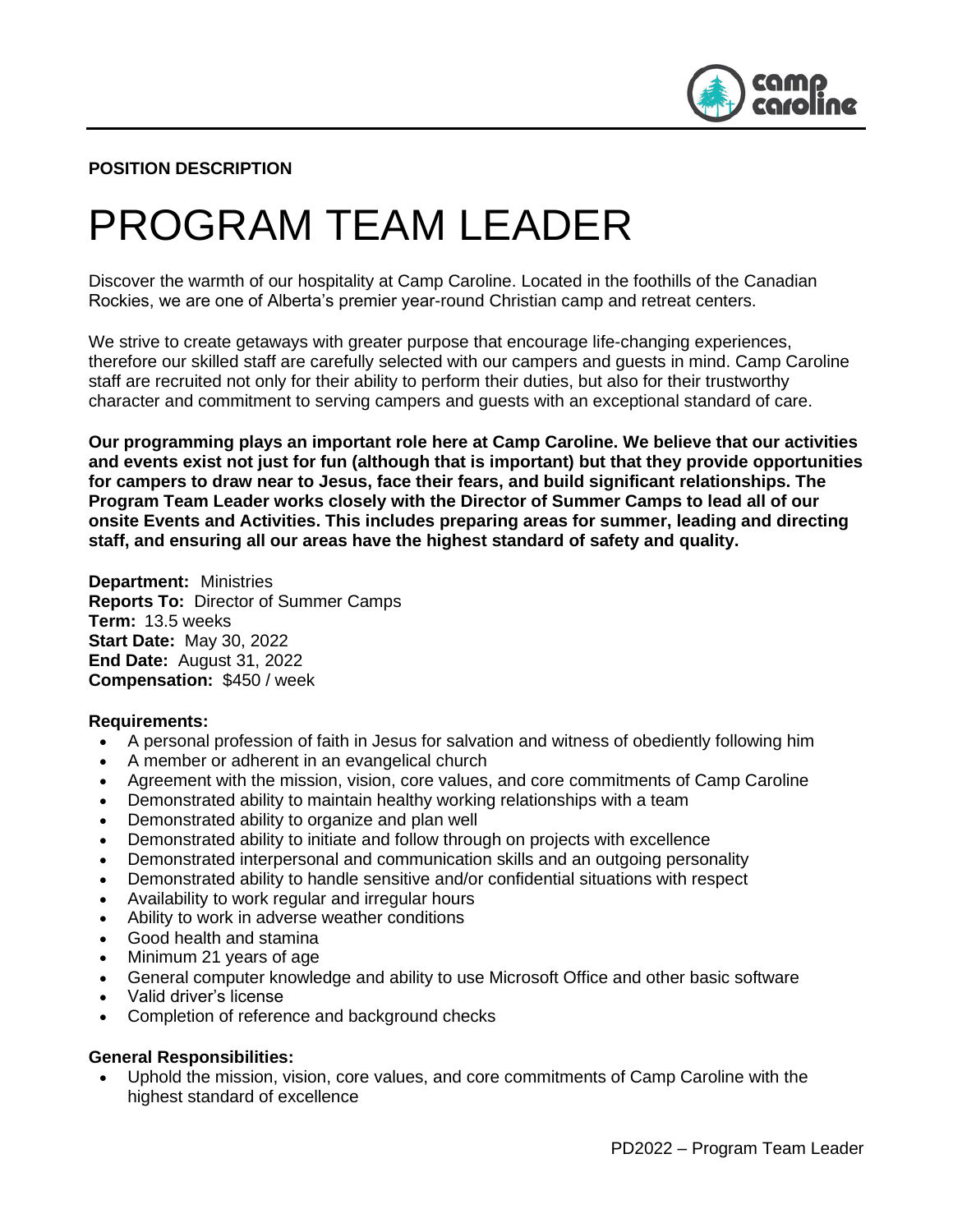

#### **POSITION DESCRIPTION**

# PROGRAM TEAM LEADER

Discover the warmth of our hospitality at Camp Caroline. Located in the foothills of the Canadian Rockies, we are one of Alberta's premier year-round Christian camp and retreat centers.

We strive to create getaways with greater purpose that encourage life-changing experiences, therefore our skilled staff are carefully selected with our campers and guests in mind. Camp Caroline staff are recruited not only for their ability to perform their duties, but also for their trustworthy character and commitment to serving campers and guests with an exceptional standard of care.

**Our programming plays an important role here at Camp Caroline. We believe that our activities and events exist not just for fun (although that is important) but that they provide opportunities for campers to draw near to Jesus, face their fears, and build significant relationships. The Program Team Leader works closely with the Director of Summer Camps to lead all of our onsite Events and Activities. This includes preparing areas for summer, leading and directing staff, and ensuring all our areas have the highest standard of safety and quality.** 

**Department:** Ministries **Reports To:** Director of Summer Camps **Term:** 13.5 weeks **Start Date:** May 30, 2022 **End Date:** August 31, 2022 **Compensation:** \$450 / week

#### **Requirements:**

- A personal profession of faith in Jesus for salvation and witness of obediently following him
- A member or adherent in an evangelical church
- Agreement with the mission, vision, core values, and core commitments of Camp Caroline
- Demonstrated ability to maintain healthy working relationships with a team
- Demonstrated ability to organize and plan well
- Demonstrated ability to initiate and follow through on projects with excellence
- Demonstrated interpersonal and communication skills and an outgoing personality
- Demonstrated ability to handle sensitive and/or confidential situations with respect
- Availability to work regular and irregular hours
- Ability to work in adverse weather conditions
- Good health and stamina
- Minimum 21 years of age
- General computer knowledge and ability to use Microsoft Office and other basic software
- Valid driver's license
- Completion of reference and background checks

#### **General Responsibilities:**

• Uphold the mission, vision, core values, and core commitments of Camp Caroline with the highest standard of excellence